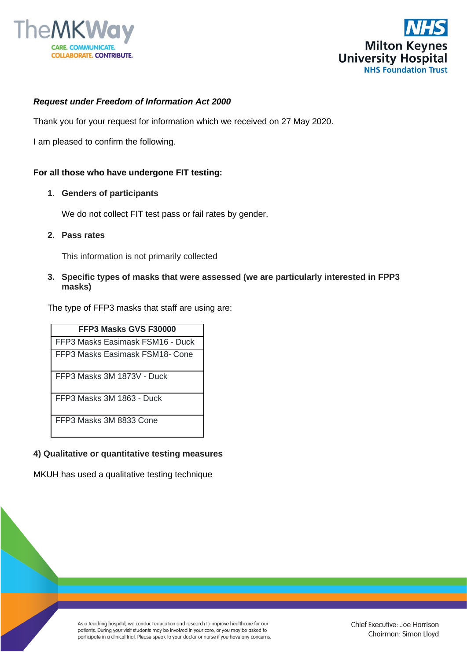



## *Request under Freedom of Information Act 2000*

Thank you for your request for information which we received on 27 May 2020.

I am pleased to confirm the following.

#### **For all those who have undergone FIT testing:**

#### **1. Genders of participants**

We do not collect FIT test pass or fail rates by gender.

**2. Pass rates**

This information is not primarily collected

## **3. Specific types of masks that were assessed (we are particularly interested in FPP3 masks)**

The type of FFP3 masks that staff are using are:

| FFP3 Masks GVS F30000            |
|----------------------------------|
| FFP3 Masks Easimask FSM16 - Duck |
| FFP3 Masks Easimask FSM18- Cone  |
| FFP3 Masks 3M 1873V - Duck       |
| FFP3 Masks 3M 1863 - Duck        |
| FFP3 Masks 3M 8833 Cone          |

## **4) Qualitative or quantitative testing measures**

MKUH has used a qualitative testing technique

As a teaching hospital, we conduct education and research to improve healthcare for our patients. During your visit students may be involved in your care, or you may be asked to participate in a clinical trial. Please speak to your doctor or nurse if you have any concerns.